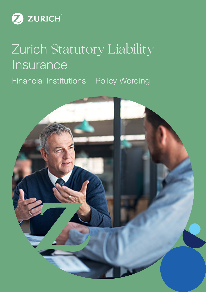

# Zurich Statutory Liability **Insurance** Financial Institutions – Policy Wording

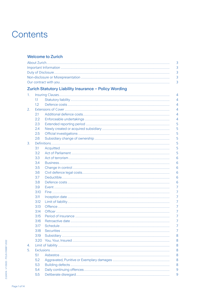# Contents

# **Welcome to Zurich**

| 3<br>3<br>3<br>3<br>Zurich Statutory Liability Insurance - Policy Wording<br>1.<br>4<br>1.1<br>4<br>$1.2\phantom{0}$<br>4<br>4<br>2.<br>2.1<br>4<br>2.2<br>4<br>5<br>2.3<br>5<br>2.4<br>5<br>2.5<br>5<br>2.6<br>5<br>3.<br>5<br>3.1<br>5<br>3.2<br>3.3<br>6<br>6<br>3.4<br>3.5<br>6<br>3.6<br>6<br>3.7<br>6<br>3.8<br>6<br>7<br>3.9<br>$\overline{7}$<br>3.10<br>7<br>3.11<br>3.12<br>7<br>7<br>3.13 |  |  |
|------------------------------------------------------------------------------------------------------------------------------------------------------------------------------------------------------------------------------------------------------------------------------------------------------------------------------------------------------------------------------------------------------|--|--|
|                                                                                                                                                                                                                                                                                                                                                                                                      |  |  |
|                                                                                                                                                                                                                                                                                                                                                                                                      |  |  |
|                                                                                                                                                                                                                                                                                                                                                                                                      |  |  |
|                                                                                                                                                                                                                                                                                                                                                                                                      |  |  |
|                                                                                                                                                                                                                                                                                                                                                                                                      |  |  |
|                                                                                                                                                                                                                                                                                                                                                                                                      |  |  |
|                                                                                                                                                                                                                                                                                                                                                                                                      |  |  |
|                                                                                                                                                                                                                                                                                                                                                                                                      |  |  |
|                                                                                                                                                                                                                                                                                                                                                                                                      |  |  |
|                                                                                                                                                                                                                                                                                                                                                                                                      |  |  |
|                                                                                                                                                                                                                                                                                                                                                                                                      |  |  |
|                                                                                                                                                                                                                                                                                                                                                                                                      |  |  |
|                                                                                                                                                                                                                                                                                                                                                                                                      |  |  |
|                                                                                                                                                                                                                                                                                                                                                                                                      |  |  |
|                                                                                                                                                                                                                                                                                                                                                                                                      |  |  |
|                                                                                                                                                                                                                                                                                                                                                                                                      |  |  |
|                                                                                                                                                                                                                                                                                                                                                                                                      |  |  |
|                                                                                                                                                                                                                                                                                                                                                                                                      |  |  |
|                                                                                                                                                                                                                                                                                                                                                                                                      |  |  |
|                                                                                                                                                                                                                                                                                                                                                                                                      |  |  |
|                                                                                                                                                                                                                                                                                                                                                                                                      |  |  |
|                                                                                                                                                                                                                                                                                                                                                                                                      |  |  |
|                                                                                                                                                                                                                                                                                                                                                                                                      |  |  |
|                                                                                                                                                                                                                                                                                                                                                                                                      |  |  |
|                                                                                                                                                                                                                                                                                                                                                                                                      |  |  |
|                                                                                                                                                                                                                                                                                                                                                                                                      |  |  |
|                                                                                                                                                                                                                                                                                                                                                                                                      |  |  |
|                                                                                                                                                                                                                                                                                                                                                                                                      |  |  |
|                                                                                                                                                                                                                                                                                                                                                                                                      |  |  |
| 3.14<br>7                                                                                                                                                                                                                                                                                                                                                                                            |  |  |
| $\overline{7}$<br>3.15                                                                                                                                                                                                                                                                                                                                                                               |  |  |
| 3.16<br>7                                                                                                                                                                                                                                                                                                                                                                                            |  |  |
| 3.17<br>7                                                                                                                                                                                                                                                                                                                                                                                            |  |  |
| 3.18<br>7                                                                                                                                                                                                                                                                                                                                                                                            |  |  |
| 8<br>3.19                                                                                                                                                                                                                                                                                                                                                                                            |  |  |
| 8<br>3.20                                                                                                                                                                                                                                                                                                                                                                                            |  |  |
| 8<br>4.                                                                                                                                                                                                                                                                                                                                                                                              |  |  |
|                                                                                                                                                                                                                                                                                                                                                                                                      |  |  |
| 8<br>8<br>5.1                                                                                                                                                                                                                                                                                                                                                                                        |  |  |
| 5.2<br>8                                                                                                                                                                                                                                                                                                                                                                                             |  |  |
| 5.3<br>8                                                                                                                                                                                                                                                                                                                                                                                             |  |  |
| 5.4<br>9                                                                                                                                                                                                                                                                                                                                                                                             |  |  |
| 5.5<br>9                                                                                                                                                                                                                                                                                                                                                                                             |  |  |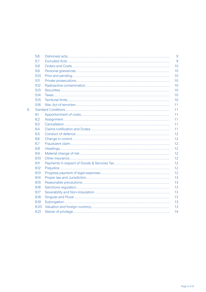|    | 5.6  |  | 9  |
|----|------|--|----|
|    |      |  |    |
|    | 5.7  |  | 9  |
|    | 5.8  |  | 10 |
|    | 5.9  |  | 10 |
|    | 5.10 |  | 10 |
|    | 5.11 |  | 10 |
|    | 5.12 |  | 10 |
|    | 5.13 |  | 10 |
|    | 5.14 |  | 10 |
|    | 5.15 |  | 10 |
|    | 5.16 |  | 11 |
| 6. |      |  | 11 |
|    | 6.1  |  | 11 |
|    | 6.2  |  | 11 |
|    | 6.3  |  | 11 |
|    | 6.4  |  | 11 |
|    | 6.5  |  | 12 |
|    | 6.6  |  | 12 |
|    | 6.7  |  | 12 |
|    | 6.8  |  | 12 |
|    | 6.9  |  | 12 |
|    | 6.10 |  | 12 |
|    | 6.11 |  | 12 |
|    | 6.12 |  | 12 |
|    | 6.13 |  | 12 |
|    | 6.14 |  | 13 |
|    | 6.15 |  | 13 |
|    | 6.16 |  | 13 |
|    | 6.17 |  | 13 |
|    | 6.18 |  | 13 |
|    | 6.19 |  | 13 |
|    | 6.20 |  | 13 |
|    | 6.21 |  | 14 |
|    |      |  |    |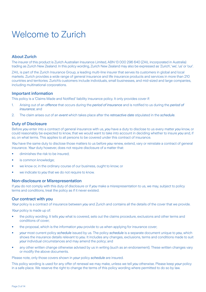# Welcome to Zurich

# About Zurich

The insurer of this product is Zurich Australian Insurance Limited, ABN 13 000 296 640 (ZAIL incorporated in Australia) trading as Zurich New Zealand. In this policy wording, Zurich New Zealand may also be expressed as 'Zurich', 'we', 'us' or 'our'.

ZAIL is part of the Zurich Insurance Group, a leading multi-line insurer that serves its customers in global and local markets. Zurich provides a wide range of general insurance and life insurance products and services in more than 210 countries and territories. Zurich's customers include individuals, small businesses, and mid-sized and large companies, including multinational corporations.

# Important information

This policy is a 'Claims Made and Notified' liability insurance policy. It only provides cover if:

- 1. Arising out of an *offence* that occurs during the *period of insurance* and is notified to us during the *period of insurance*; and
- 2. The claim arises out of an *event* which takes place after the *retroactive date* stipulated in the *schedule*.

# Duty of Disclosure

Before *you* enter into a contract of general insurance with us, *you* have a duty to disclose to us every matter *you* know, or could reasonably be expected to know, that we would want to take into account in deciding whether to insure *you* and, if so, on what terms. This applies to all persons to be covered under this contract of insurance.

You have the same duty to disclose those matters to us before *you* renew, extend, vary or reinstate a contract of general insurance. *Your* duty however, does not require disclosure of a matter that:

- diminishes the risk to be insured;
- is common knowledge;
- we know or, in the ordinary course of our business, ought to know; or
- we indicate to *you* that we do not require to know.

# Non-disclosure or Misrepresentation

If *you* do not comply with this duty of disclosure or if *you* make a misrepresentation to us, we may, subject to policy terms and conditions, treat the policy as if it never existed.

# Our contract with you

*Your* policy is a contract of insurance between *you* and Zurich and contains all the details of the cover that we provide.

*Your* policy is made up of:

- the policy wording. It tells *you* what is covered, sets out the claims procedure, exclusions and other terms and conditions of cover;
- the proposal, which is the information *you* provide to us when applying for insurance cover;
- • *your* most current policy *schedule* issued by us. The policy *schedule* is a separate document unique to *you*, which shows the insurance details relevant to *you*. It includes any changes, exclusions, terms and conditions made to suit *your* individual circumstances and may amend the policy; and
- any other written change otherwise advised by us in writing (such as an endorsement). These written changes vary or modify the above documents.

Please note, only those covers shown in *your* policy *schedule* are insured.

This policy wording is used for any offer of renewal we may make, unless we tell *you* otherwise. Please keep *your* policy in a safe place. We reserve the right to change the terms of this policy wording where permitted to do so by law.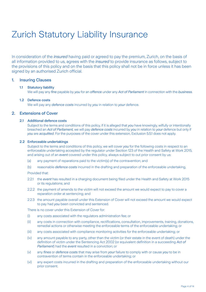# Zurich Statutory Liability Insurance

In consideration of the *insured* having paid or agreed to pay the premium, Zurich, on the basis of all information provided to us, agrees with the *insured* to provide insurance as follows, subject to the provisions of this policy and on the basis that this policy shall not be in force unless it has been signed by an authorised Zurich official.

# 1. Insuring Clauses

# 1.1 Statutory liability

We will pay any *fine* payable by *you* for an *offence* under any *Act of Parliament* in connection with the *business*.

#### 1.2 Defence costs

We will pay any *defence costs* incurred by *you* in relation to *your* defence.

# 2. Extensions of Cover

# 2.1 Additional defence costs

 Subject to the terms and conditions of this policy, if it is alleged that *you* have knowingly, wilfully or intentionally breached an *Act of Parliament,* we will pay *defence costs* incurred by *you* in relation to *your* defence but only if *you* are *acquitted*. For the purposes of the cover under this extension, Exclusion 5.5.1 does not apply.

### 2.2 Enforceable undertakings

 Subject to the terms and conditions of this policy, we will cover *you* for the following costs in respect to an enforceable undertaking accepted by the regulator under Section 123 of the Health and Safety at Work 2015, and arising out of an *event* covered under this policy, always subject to out prior consent by us:

- (a) any payment of reparations paid to the victim(s) of the contravention; and
- (b) reasonable *defence costs* incurred in the drafting and preparation of the enforceable undertaking,

Provided that:

- 2.2.1 the *event* has resulted in a charging document being filed under the Health and Safety at Work 2015 or its regulations; and
- 2.2.2 the payment of amends to the victim will not exceed the amount we would expect to pay to cover a reparation order at sentencing; and
- 2.2.3 the amount payable overall under this Extension of Cover will not exceed the amount we would expect to pay had *you* been convicted and sentenced.

There is no cover under this Extension of Cover for:

- (i) any costs associated with the regulators administration fee; or
- (ii) any costs in connection with compliance, rectifications, consultation, improvements, training, donations, remedial actions or otherwise meeting the enforceable terms of the enforceable undertaking; or
- (iii) any costs associated with compliance monitoring activities for the enforceable undertaking; or
- (iv) any amount payable to any party, other than the victim (or their estate in the event of death) under the definition of victim under the Sentencing Act 2002 (or equivalent definition in a succeeding *Act of Parliament*) had the *event* resulted in a conviction; or
- (v) any *fines* or *defence costs* that may arise from *your* failure to comply with or cause *you* to be in contravention of terms contain in the enforceable undertaking; or
- (vi) any expert costs incurred in the drafting and preparation of the enforceable undertaking without our prior consent.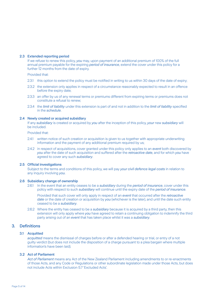#### 2.3 Extended reporting period

 If we refuse to renew this policy, *you* may, upon payment of an additional premium of 100% of the full annual premium payable for the expiring *period of insurance*, extend the cover under this policy for a further 12 months from the date of expiry.

Provided that:

- 2.3.1 this option to extend the policy must be notified in writing to us within 30 days of the date of expiry;
- 2.3.2 the extension only applies in respect of a circumstance reasonably expected to result in an offence before the expiry date;
- 2.3.3 an offer by us of any renewal terms or premiums different from expiring terms or premiums does not constitute a refusal to renew;
- 2.3.4 the *limit of liability* under this extension is part of and not in addition to the *limit of liability* specified in the *schedule*.

#### 2.4 Newly created or acquired subsidiary

 If any *subsidiary* is created or acquired by *you* after the inception of this policy, *your* new *subsidiary* will be included.

Provided that:

- 2.4.1 written notice of such creation or acquisition is given to us together with appropriate underwriting information and the payment of any additional premium required by us;
- 2.4.2 in respect of acquisitions, cover granted under this policy only applies to an *event* both discovered by *you* after the date of such acquisition and suffered after the *retroactive date*, and for which *you* have agreed to cover any such *subsidiary*.

#### 2.5 Official investigations

 Subject to the terms and conditions of this policy, we will pay *your civil defence legal costs* in relation to any inquiry involving *you*.

#### 2.6 Subsidiary change of ownership

 2.6.1 In the event that an entity ceases to be a *subsidiary* during the *period of insurance*, cover under this policy with respect to such *subsidiary* will continue until the expiry date of the *period of insurance*.

 Provided that such cover will only apply in respect of an *event* that occurred after the *retroactive date* or the date of creation or acquisition by *you* (whichever is the later), and until the date such entity ceased to be a *subsidiary*.

 2.6.2 Where the entity has ceased to be a *subsidiary* because it is acquired by a third party, then this extension will only apply where *you* have agreed to retain a continuing obligation to indemnify the third party arising out of an *event* that has taken place whilst it was a *subsidiary*.

# 3. Definitions

# 3.1 Acquitted

 *acquitted* means the dismissal of charges before or after a defended hearing or trial, or entry of a not guilty verdict (but does not include the disposition of a charge pursuant to a plea bargain where multiple information's have been laid).

#### 3.2 Act of Parliament

 *Act of Parliament* means any Act of the New Zealand Parliament including amendments to or re-enactments of those Acts, and any Code or Regulations or other subordinate legislation made under those Acts, but does not include Acts within Exclusion 5.7 'Excluded Acts'.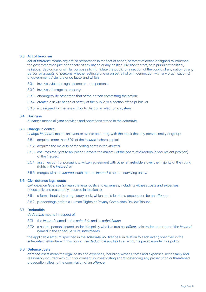#### 3.3 Act of terrorism

 *act of terrorism* means any act, or preparation in respect of action, or threat of action designed to influence the government de jure or de facto of any nation or any political division thereof, or in pursuit of political, religious, ideological or similar purposes to intimidate the public or a section of the public of any nation by any person or group(s) of persons whether acting alone or on behalf of or in connection with any organisation(s) or government(s) de jure or de facto, and which:

- 3.3.1 involves violence against one or more persons;
- 3.3.2 involves damage to property;
- 3.3.3 endangers life other than that of the person committing the action;
- 3.3.4 creates a risk to health or safety of the public or a section of the public; or
- 3.3.5 is designed to interfere with or to disrupt an electronic system.

#### 3.4 Business

 *business* means all *your* activities and operations stated in the *schedule.*

#### 3.5 Change in control

 *change in control* means an event or events occurring, with the result that any person, entity or group:

- 3.5.1 acquires more than 50% of the *insured's* share capital;
- 3.5.2 acquires the majority of the voting rights in the *insured*;
- 3.5.3 assumes the right to appoint or remove the majority of the board of directors (or equivalent position) of the *insured*;
- 3.5.4 assumes control pursuant to written agreement with other shareholders over the majority of the voting rights in the *insured*; or
- 3.5.5 merges with the *insured*, such that the *insured* is not the surviving entity.

#### 3.6 Civil defence legal costs

 *civil defence legal costs* mean the legal costs and expenses, including witness costs and expenses, necessarily and reasonably incurred in relation to:

- 3.6.1 a formal inquiry by a regulatory body, which could lead to a prosecution for an *offence*;
- 3.6.2 proceedings before a Human Rights or Privacy Complaints Review Tribunal.

#### 3.7 Deductible

 *deductible* means in respect of:

- 3.7.1 the *insured* named in the *schedule* and its *subsidiaries*;
- 3.7.2 a natural person insured under this policy who is a trustee, *officer*, sole trader or partner of the *insured* named in the *schedule* or its *subsidiaries*,

 the applicable amount specified in the *schedule you* first bear in relation to each *event,* specified in the *schedule* or elsewhere in this policy. The *deductible* applies to all amounts payable under this policy.

# 3.8 Defence costs

 *defence costs* mean the legal costs and expenses, including witness costs and expenses, necessarily and reasonably incurred with our prior consent, in investigating and/or defending any prosecution or threatened prosecution alleging the commission of an *offence*.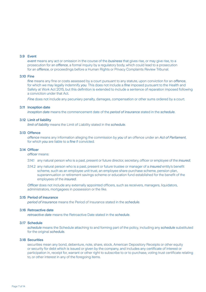#### 3.9 Event

 *event* means any act or omission in the course of the *business* that gives rise, or may give rise, to a prosecution for an *offence*, a formal inquiry by a regulatory body, which could lead to a prosecution for an *offence*, or proceedings before a Human Rights or Privacy Complaints Review Tribunal.

#### 3.10 Fine

 *fine* means any fine or costs assessed by a court pursuant to any statute, upon conviction for an *offence*, for which we may legally indemnify *you*. This does not include a *fine* imposed pursuant to the Health and Safety at Work Act 2015, but this definition is extended to include a sentence of reparation imposed following a conviction under that Act.

*Fine* does not include any pecuniary penalty, damages, compensation or other sums ordered by a court.

#### 3.11 Inception date

 *inception date* means the commencement date of the *period of insurance* stated in the *schedule*.

#### 3.12 Limit of liability

 *limit of liability* means the Limit of Liability stated in the *schedule*.

#### 3.13 Offence

 *offence* means any information alleging the commission by *you* of an offence under an *Act of Parliament*, for which *you* are liable to a *fine* if convicted.

# 3.14 Officer

*officer* means:

- 3.14.1 any natural person who is a past, present or future director, secretary, officer or employee of the *insured*;
- 3.14.2 any natural person who is a past, present or future trustee or manager of a *insured* entity's benefit scheme, such as an employee unit trust, an employee share purchase scheme, pension plan, superannuation or retirement savings scheme or education fund established for the benefit of the employees of the *insured*.

 *Officer* does not include any externally appointed officers, such as receivers, managers, liquidators, administrators, mortgagees in possession or the like.

#### 3.15 Period of insurance

 *period of insurance* means the Period of Insurance stated in the *schedule*.

#### 3.16 Retroactive date

 *retroactive date* means the Retroactive Date stated in the *schedule*.

#### 3.17 Schedule

 *schedule* means the Schedule attaching to and forming part of the policy, including any *schedule* substituted for the original *schedule.*

#### 3.18 Securities

 securities mean any bond, debenture, note, share, stock, American Depository Receipts or other equity or security for debt which is issued or given by the company, and includes any certificate of interest or participation in, receipt for, warrant or other right to subscribe to or to purchase, voting trust certificate relating to, or other interest in any of the foregoing items.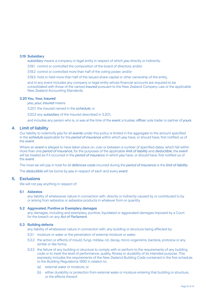#### 3.19 Subsidiary

 *subsidiary* means a company or legal entity in respect of which *you* directly or indirectly:

3.19.1 control or controlled the composition of the board of directors; and/or

3.19.2 control or controlled more than half of the voting power; and/or

3.19.3 hold or held more than half of the issued share capital or other ownership of the entity,

and in any event includes any company or legal entity whose financial accounts are required to be consolidated with those of the named *insured* pursuant to the New Zealand Company Law or the applicable New Zealand Accounting Standards.

#### 3.20You, Your, Insured

 *you, your, insured* means:

3.20.1 the Insured named in the *schedule*; or

3.20.2 any *subsidiary* of the Insured described in 3.20.1,

and includes any person who is, or was at the time of the *event*, a trustee, *officer*, sole trader or partner of *yours*.

# 4. Limit of liability

Our liability to indemnify *you* for all *events* under this policy is limited in the aggregate to the amount specified in the *schedule* applicable for the *period of insurance* within which *you* have, or should have, first notified us of the *event*.

Where an *event* is alleged to have taken place on, over or between a number of specified dates, which fall within more than one *period of insurance*, for the purposes of the applicable *limit of liability* and *deductible*, the *event* will be treated as if it occurred in the *period of insuranc*e in which *you* have, or should have, first notified us of the *event*.

The most we will pay in total for all *defences costs* incurred during the *period of insurance* is the *limit of liability*.

The *deductible* will be borne by *you* in respect of each and every *event*.

# 5. Exclusions

We will not pay anything in respect of:

#### 5.1 Asbestos

 any liability of whatsoever nature in connection with, directly or indirectly caused by or contributed to by or arising from asbestos or asbestos products in whatever form or quantity.

#### 5.2 Aggravated, Punitive or Exemplary damages

 any damages, including and exemplary, punitive, liquidated or aggravated damages imposed by a Court for the breach on any *Act of Parliament.*

#### 5.3 Building defects

any liability of whatsoever nature in connection with, any building or structure being affected by:

- 5.3.1 moisture or water or the penetration of external moisture or water;
- 5.3.2 the action or effects of mould, fungi, mildew, rot, decay, micro-organisms, bacteria, protozoa or any similar or like forms;
- 5.3.3 the failure of any building or structure to comply with or perform to the requirements of any building code or to meet the level of performance, quality, fitness or durability of its intended purpose. This expressly includes the requirements of the New Zealand Building Code contained in the first schedule to the Building Regulations 1992 in relation to:
	- (a) external water or moisture; or
	- (b) either durability or protection from external water or moisture entering that building or structure, or the effects thereof.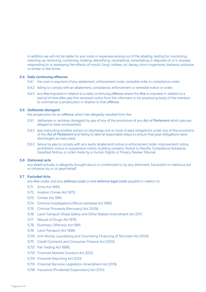In addition we will not be liable for any costs or expenses arising out of the abating, testing for, monitoring, cleaning up, removing, containing, treating, detoxifying, neutralising, remediating or disposal of, or in anyway responding to or assessing the effects of mould, fungi, mildew, rot, decay, micro-organisms, bacteria, protozoa or similar or like forms.

#### 5.4 Daily continuing offences

- 5.4.1 the cost or payment of any abatement, enforcement order, remedial order or compliance order;
- 5.4.2 failing to comply with an abatement, compliance, enforcement or remedial notice or order;
- 5.4.3 any *fine* imposed in relation to a daily continuing *offence* where the *fine* is imposed in relation to a period of time after *you* first received notice from the informant or his employing body of the intention to commence a prosecution in relation to that *offence*.

#### 5.5 Deliberate disregard

the prosecution for an *offence* which has allegedly resulted from the:

- 5.5.1 deliberate or reckless disregard by *you* of any of the provisions of any *Act of Parliament* which *you* are alleged to have contravened;
- 5.5.2 *you* instructing another person to discharge one or more of *your* obligations under any of the provisions of the *Act of Parliament* and failing to take all reasonable steps to ensure that *your* obligations were discharged as instructed;
- 5.5.3 failure by *you* to comply with any lawful abatement notice or enforcement order, improvement notice, prohibition notice or suspension notice, building consent, Notice to Rectify, Compliance Schedule, Gazetted Notice, or order made by a Human Rights or Privacy Review Tribunal.

# 5.6 Dishonest acts

 any *event* actually or allegedly brought about or contributed to, by any dishonest, fraudulent or malicious act or omission by or on *your* behalf.

#### 5.7 Excluded Acts

any *fine* under, and any *defence costs* or *civil defence legal costs* payable in relation to:

- 5.7.1 Arms Act 1983;
- 5.7.2 Aviation Crimes Act 1972;
- 5.7.3 Crimes Act 1961;
- 5.7.4 Criminal Investigations (Blood samples) Act 1995;
- 5.7.5 Criminal Proceeds (Recovery) Act 2009;
- 5.7.6 Land Transport (Road Safety and Other Matter) Amendment Act 2011;
- 5.7.7 Misuse of Drugs Act 1975;
- 5.7.8 Summary Offences Act 1981;
- 5.7.9 Land Transport Act 1998;
- 5.7.10 Anti-Money Laundering and Countering Financing of Terrorism Act 2009;
- 5.7.11 Credit Contracts and Consumer Finance Act 2003;
- 5.7.12 Fair Trading Act 1986;
- 5.7.13 Financial Markets Conduct Act 2013;
- 5.7.14 Financial Reporting Act 2013;
- 5.7.15 Financial Services Legislation Amendment Act 2019;
- 5.7.16 Insurance (Prudential Supervision) Act 2010;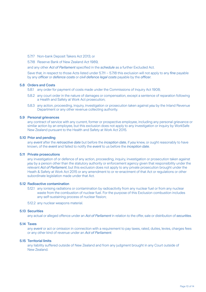5.7.17 Non-bank Deposit Takers Act 2013; or

5.7.18 Reserve Bank of New Zealand Act 1989,

and any other *Act of Parliament* specified in the *schedule* as a further Excluded Act.

 Save that, in respect to those Acts listed under 5.7.11 – 5.7.18 this exclusion will not apply to any *fine* payable by any *officer* or *defence costs* or *civil defence legal costs* payable by the *officer*.

#### 5.8 Orders and Costs

5.8.1 any order for payment of costs made under the Commissions of Inquiry Act 1908;

- 5.8.2 any court order in the nature of damages or compensation, except a sentence of reparation following a Health and Safety at Work Act prosecution;
- 5.8.3 any action, proceeding, inquiry, investigation or prosecution taken against *you* by the Inland Revenue Department or any other revenue collecting authority.

#### 5.9 Personal grievances

 any contract of service with any current, former or prospective employee, including any personal grievance or similar action by an employee, but this exclusion does not apply to any investigation or inquiry by WorkSafe New Zealand pursuant to the Health and Safety at Work Act 2015.

#### 5.10 Prior and pending

 any *event* after the *retroactive date* but before the *inception date*, if *you* knew, or ought reasonably to have known, of the *event* and failed to notify the *event* to us before the *inception date*.

#### 5.11 Private prosecutions

 any investigation of or defence of any action, proceeding, inquiry, investigation or prosecution taken against *you* by a person other than the statutory authority or enforcement agency given that responsibility under the relevant *Act of Parliament*, but this exclusion does not apply to any private prosecution brought under the Heath & Safety at Work Act 2015 or any amendment to or re-enactment of that Act or regulations or other subordinate legislation made under that Act.

#### 5.12 Radioactive contamination

 5.12.1 any ionising radiations or contamination by radioactivity from any nuclear fuel or from any nuclear waste from the combustion of nuclear fuel. For the purpose of this Exclusion combustion includes any self-sustaining process of nuclear fission;

5.12.2 any nuclear weapons material.

#### 5.13 Securities

any actual or alleged offence under an *Act of Parliament* in relation to the offer, sale or distribution of *securities*.

#### 5.14 Taxes

 any *event* or act or omission in connection with a requirement to pay taxes, rated, duties, levies, charges fees or any other kind of revenue under an *Act of Parliament*.

#### 5.15 Territorial limits

 any liability suffered outside of New Zealand and from any judgment brought in any Court outside of New Zealand.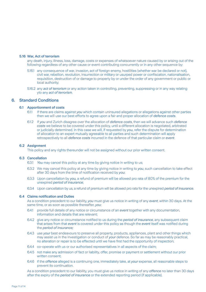#### 5.16 War, Act of terrorism

 any death, injury, illness, loss, damage, costs or expenses of whatsoever nature caused by or arising out of the following regardless of any other cause or event contributing concurrently or in any other sequence by:

- 5.16.1 any consequence of war, invasion, act of foreign enemy, hostilities (whether war be declared or not), civil war, rebellion, revolution, insurrection or military or usurped power or confiscation, nationalisation, requisition, destruction of or damage to property by or under the order of any government or public or local authority;
- 5.16.2 any *act of terrorism* or any action taken in controlling, preventing, suppressing or in any way relating yto any *act of terrorism*.

#### 6. Standard Conditions

#### 6.1 Apportionment of costs

- 6.1.1 If there are claims against *you* which contain uninsured allegations or allegations against other parties then we will use our best efforts to agree upon a fair and proper allocation of *defence costs*.
- 6.1.2 If *you* and Zurich disagree over the allocation of *defence costs*, then we will advance such *defence costs* we believe to be covered under this policy, until a different allocation is negotiated, arbitrated or judicially determined. In this case we will, if requested by *you*, refer the dispute for determination of allocation to an expert mutually agreeable to all parties and such determination will apply retrospectively to all *defence costs* incurred in the defence of that particular claim or *event*.

#### 6.2 Assignment

This policy and any rights thereunder will not be assigned without our prior written consent.

#### 6.3 Cancellation

- 6.3.1 *You* may cancel this policy at any time by giving notice in writing to us;
- 6.3.2 We may cancel this policy at any time by giving notice in writing to *you*, such cancellation to take effect after 30 days from the time of notification received by *you*;
- 6.3.3 Upon cancellation by *you,* a refund of premium will be allowed pro rata of 80% of the premium for the unexpired *period of insurance*;
- 6.3.4 Upon cancellation by us, a refund of premium will be allowed pro rata for the unexpired *period of insurance*.

#### 6.4 Claims notification and Duties

 As a condition precedent to our liability, *you* must give us notice in writing of any *event*, within 30 days. At the same time, or as soon as possible thereafter, *you*:

- 6.4.1 provide full details of any notice or circumstance of an *event* together with any documentation, information and details that are relevant;
- 6.4.2 give any notice or circumstance notified to us during the *period of insurance*, any subsequent claim that arises from that *event* is covered under this policy as though the *event* itself was notified during the *period of insurance;*
- 6.4.3 use *your* best endeavours to preserve all property, products, appliances, plant and other things which may assist us in the investigation or conduct of *your* defence. So far as may be reasonably practical, no alteration or repair is to be effected until we have first had the opportunity of inspection;
- 6.4.4 co-operate with us or our authorised representatives in all aspects of the claim;
- 6.4.5 not make any admission of fact or liability, offer, promise or payment or settlement without our prior written consent;
- 6.4.6 if the *offence* alleged is a continuing one, immediately take, at *your* expense, all reasonable steps to prevent its continuation.

 As a condition precedent to our liability, you must give us notice in writing of any *offence* no later than 30 days after the expiry of the *period of insurance* or the extended reporting period (if applicable).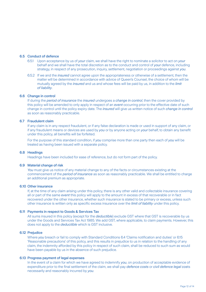#### 6.5 Conduct of defence

- 6.5.1 Upon acceptance by us of *your* claim, we shall have the right to nominate a solicitor to act on *your* behalf and we shall have the total discretion as to the conduct and control of *your* defence, including strategy, in respect of any prosecution, inquiry, settlement, negotiation or proceedings against *you*.
- 6.5.2 If we and the *insured* cannot agree upon the appropriateness or otherwise of a settlement, then the matter will be determined in accordance with advice of Queen's Counsel, the choice of whom will be mutually agreed by the *insured* and us and whose fees will be paid by us, in addition to the *limit of liability*.

#### 6.6 Change in control

 If during the *period of insurance* the *insured* undergoes a *change in control*, then the cover provided by this policy will be amended to only apply in respect of an *event* occurring prior to the effective date of such change in control until the policy expiry date. The *insured* will give us written notice of such *change in control*  as soon as reasonably practicable.

#### 6.7 Fraudulent claim

 If any claim is in any respect fraudulent, or if any false declaration is made or used in support of any claim, or if any fraudulent means or devices are used by *you* or by anyone acting on *your* behalf, to obtain any benefit under this policy, all benefits will be forfeited.

 For the purpose of this standard condition, if *you* comprise more than one party then each of *you* will be treated as having been issued with a separate policy.

#### 6.8 Headings

Headings have been included for ease of reference, but do not form part of the policy.

#### 6.9 Material change of risk

 *You* must give us notice of any material change to any of the facts or circumstances existing at the commencement of the *period of insurance* as soon as reasonably practicable. We shall be entitled to charge an additional premium as appropriate.

#### 6.10 Other insurance

 If, at the time of any claim arising under this policy, there is any other valid and collectable insurance covering all or part of the same *event* this policy will apply to the amount in excess of that recoverable or in fact recovered under the other insurance, whether such insurance is stated to be primary or excess, unless such other insurance is written only as specific excess insurance over the *limit of liability* under this policy.

#### 6.11 Payments in respect to Goods & Services Tax

 All sums insured in this policy (except for the *deductible*) exclude GST where that GST is recoverable by us under the Goods and Services Tax Act 1985. We add GST, where applicable, to claim payments. However, this does not apply to the *deductible* which is GST inclusive.

#### 6.12 Prejudice

 Where *you* breach or fail to comply with Standard Conditions 6.4 'Claims notification and duties' or 6.15 'Reasonable precautions' of this policy, and this results in prejudice to us in relation to the handling of any claim, the indemnity afforded by this policy in respect of such claim, shall be reduced to such sum as would have been payable by us in the absence of such prejudice.

#### 6.13 Progress payment of legal expenses

 In the event of a claim for which we have agreed to indemnify *you*, on production of acceptable evidence of expenditure prior to the final settlement of the claim, we shall pay *defence costs* or *civil defence legal cos*ts necessarily and reasonably incurred by *you*.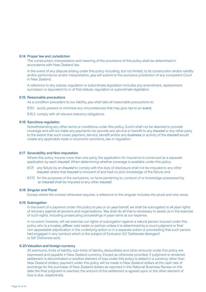#### 6.14 Proper law and Jurisdiction

 The construction, interpretation and meaning of the provisions of this policy shall be determined in accordance with New Zealand law.

 In the event of any dispute arising under this policy including, but not limited, to its construction and/or validity and/or performance and/or interpretation, *you* will submit to the exclusive jurisdiction of any competent Court in New Zealand.

 A reference to any statute, regulation or subordinate legislation includes any amendment, replacement, successor or equivalent to or of that statute, regulation or subordinate legislation.

#### 6.15 Reasonable precautions

As a condition precedent to our liability, *you* shall take all reasonable precautions to:

6.15.1 avoid, prevent or minimise any circumstances that may give rise to an *event*;

6.15.2 comply with all relevant statutory obligations.

#### 6.16 Sanctions regulation

 Notwithstanding any other terms or conditions under this policy, Zurich shall not be deemed to provide coverage and will not make any payments nor provide any service or benefit to any *insured* or any other party to the extent that such cover, payment, service, benefit and/or any *business* or activity of the *insured* would violate any applicable trade or economic sanctions, law or regulation.

#### 6.17 Severability and Non-imputation

 Where this policy insures more than one party, the application for insurance is construed as a separate application by each *insured*. When determining whether coverage is available under this policy:

- 6.17.1 any failure by an *insured* to comply with the duty of disclosure shall not be imputed to any other *insured*, where that *insured* is innocent of and had no prior knowledge of the failure; and
- 6.17.2 for the purposes of the exclusions, no facts pertaining to, conduct of or knowledge possessed by an *insured* shall be imputed to any other *insured*.

#### 6.18 Singular and Plural

Except where the context otherwise requires, a reference to the singular includes the plural and vice versa.

#### 6.19 Subrogation

 In the event of a payment under this policy to *you* or on *your* behalf, we shall be subrogated to all *your* rights of recovery against all persons and organisations. *You* shall do all that is necessary to assist us in the exercise of such rights, including prosecuting proceedings in *your* name at our expense.

 In no event, however, will we exercise our rights of subrogation against a natural person insured under this policy who is a trustee, *officer*, sole trader or partner unless it is determined by a court judgment or final non-appealable adjudication in the underlying action or in a separate action or proceeding that such person had engaged in any conduct which is the subject of Exclusion 5.5 'Deliberate disregard' or 5.6 'Dishonest acts'.

#### 6.20Valuation and foreign currency

 All premiums, limits of liability, sub-limits of liability, deductibles and other amounts under this policy are expressed and payable in New Zealand currency. Except as otherwise provided, if judgment is rendered, settlement is denominated or another element of loss under this policy is stated in a currency other than New Zealand dollars, payment under this policy will be made in New Zealand dollars at the cash rate of exchange for the purchase of New Zealand dollars as reported in the National Business Review on the date the final judgment is reached, the amount of the settlement is agreed upon or the other element of loss is due, respectively.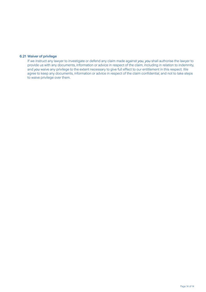# 6.21 Waiver of privilege

 If we instruct any lawyer to investigate or defend any claim made against *you*, *you* shall authorise the lawyer to provide us with any documents, information or advice in respect of the claim, including in relation to indemnity, and *you* waive any privilege to the extent necessary to give full effect to our entitlement in this respect. We agree to keep any documents, information or advice in respect of the claim confidential, and not to take steps to waive privilege over them.